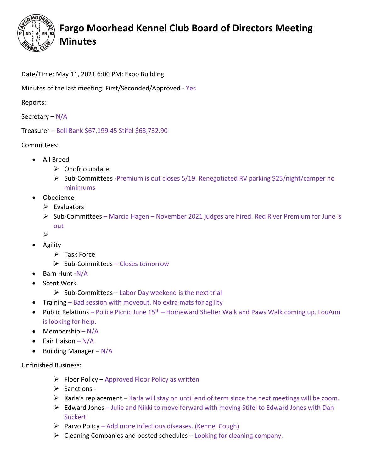

## **Fargo Moorhead Kennel Club Board of Directors Meeting Minutes**

## Date/Time: May 11, 2021 6:00 PM: Expo Building

Minutes of the last meeting: First/Seconded/Approved - Yes

Reports:

Secretary – N/A

Treasurer – Bell Bank \$67,199.45 Stifel \$68,732.90

Committees:

- All Breed
	- $\triangleright$  Onofrio update
	- ▶ Sub-Committees -Premium is out closes 5/19. Renegotiated RV parking \$25/night/camper no minimums
- Obedience
	- $\triangleright$  Evaluators
	- $\triangleright$  Sub-Committees Marcia Hagen November 2021 judges are hired. Red River Premium for June is out
	- $\blacktriangleright$
- Agility
	- $\triangleright$  Task Force
	- $\triangleright$  Sub-Committees Closes tomorrow
- Barn Hunt -N/A
- Scent Work
	- $\triangleright$  Sub-Committees Labor Day weekend is the next trial
- Training Bad session with moveout. No extra mats for agility
- Public Relations Police Picnic June  $15<sup>th</sup>$  Homeward Shelter Walk and Paws Walk coming up. LouAnn is looking for help.
- Membership  $-N/A$
- Fair Liaison N/A
- Building Manager N/A

Unfinished Business:

- $\triangleright$  Floor Policy Approved Floor Policy as written
- $\triangleright$  Sanctions -
- $\triangleright$  Karla's replacement Karla will stay on until end of term since the next meetings will be zoom.
- Edward Jones Julie and Nikki to move forward with moving Stifel to Edward Jones with Dan Suckert.
- $\triangleright$  Parvo Policy Add more infectious diseases. (Kennel Cough)
- $\triangleright$  Cleaning Companies and posted schedules Looking for cleaning company.